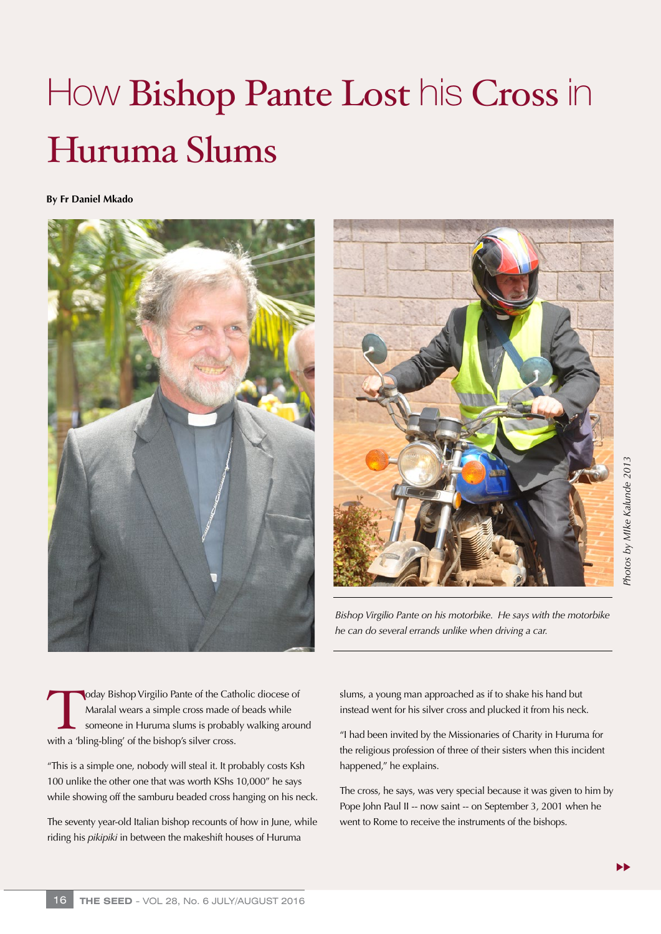## How **Bishop Pante Lost** his Cross in Huruma Slums

**By Fr Daniel Mkado**





*Bishop Virgilio Pante on his motorbike. He says with the motorbike he can do several errands unlike when driving a car.* 

oday Bishop Virgilio Pante of the Catholic diocese of<br>Maralal wears a simple cross made of beads while<br>someone in Huruma slums is probably walking arou<br>with a 'bling-bling' of the bishop's silver cross. Maralal wears a simple cross made of beads while someone in Huruma slums is probably walking around with a 'bling-bling' of the bishop's silver cross.

"This is a simple one, nobody will steal it. It probably costs Ksh 100 unlike the other one that was worth KShs 10,000" he says while showing off the samburu beaded cross hanging on his neck.

The seventy year-old Italian bishop recounts of how in June, while riding his *pikipiki* in between the makeshift houses of Huruma

slums, a young man approached as if to shake his hand but instead went for his silver cross and plucked it from his neck.

"I had been invited by the Missionaries of Charity in Huruma for the religious profession of three of their sisters when this incident happened," he explains.

The cross, he says, was very special because it was given to him by Pope John Paul II -- now saint -- on September 3, 2001 when he went to Rome to receive the instruments of the bishops.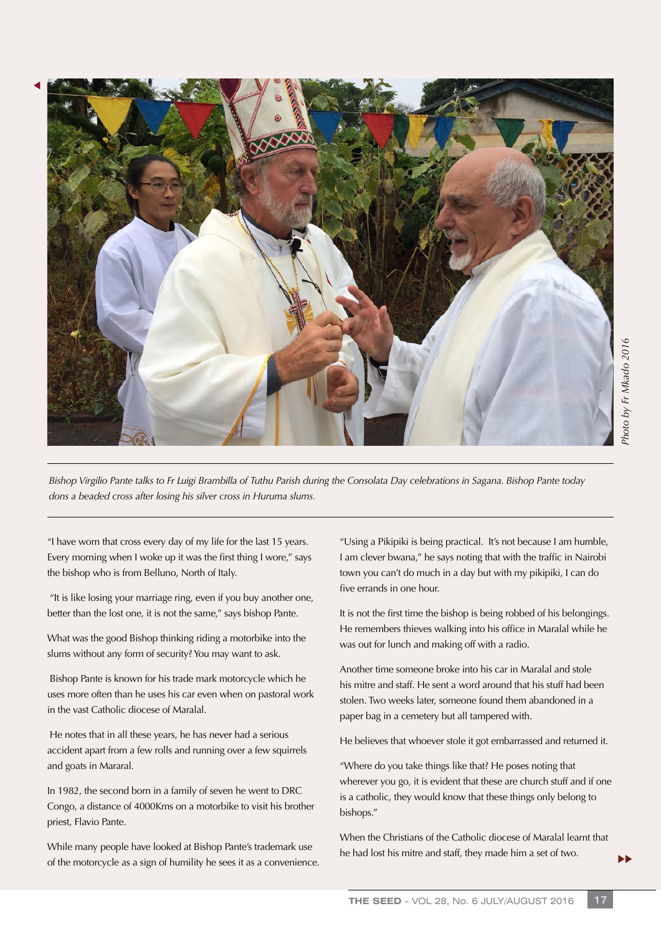

*Bishop Virgilio Pante talks to Fr Luigi Brambilla of Tuthu Parish during the Consolata Day celebrations in Sagana. Bishop Pante today dons a beaded cross after losing his silver cross in Huruma slums.*

"I have worn that cross every day of my life for the last 15 years. Every morning when I woke up it was the first thing I wore," says the bishop who is from Belluno, North of Italy.

 "It is like losing your marriage ring, even if you buy another one, better than the lost one, it is not the same," says bishop Pante.

What was the good Bishop thinking riding a motorbike into the slums without any form of security? You may want to ask.

 Bishop Pante is known for his trade mark motorcycle which he uses more often than he uses his car even when on pastoral work in the vast Catholic diocese of Maralal.

 He notes that in all these years, he has never had a serious accident apart from a few rolls and running over a few squirrels and goats in Mararal.

In 1982, the second born in a family of seven he went to DRC Congo, a distance of 4000Kms on a motorbike to visit his brother priest, Flavio Pante.

While many people have looked at Bishop Pante's trademark use of the motorcycle as a sign of humility he sees it as a convenience.

"Using a Pikipiki is being practical. It's not because I am humble, I am clever bwana," he says noting that with the traffic in Nairobi town you can't do much in a day but with my pikipiki, I can do five errands in one hour.

It is not the first time the bishop is being robbed of his belongings. He remembers thieves walking into his office in Maralal while he was out for lunch and making off with a radio.

Another time someone broke into his car in Maralal and stole his mitre and staff. He sent a word around that his stuff had been stolen. Two weeks later, someone found them abandoned in a paper bag in a cemetery but all tampered with.

He believes that whoever stole it got embarrassed and returned it.

"Where do you take things like that? He poses noting that wherever you go, it is evident that these are church stuff and if one is a catholic, they would know that these things only belong to bishops."

When the Christians of the Catholic diocese of Maralal learnt that he had lost his mitre and staff, they made him a set of two.